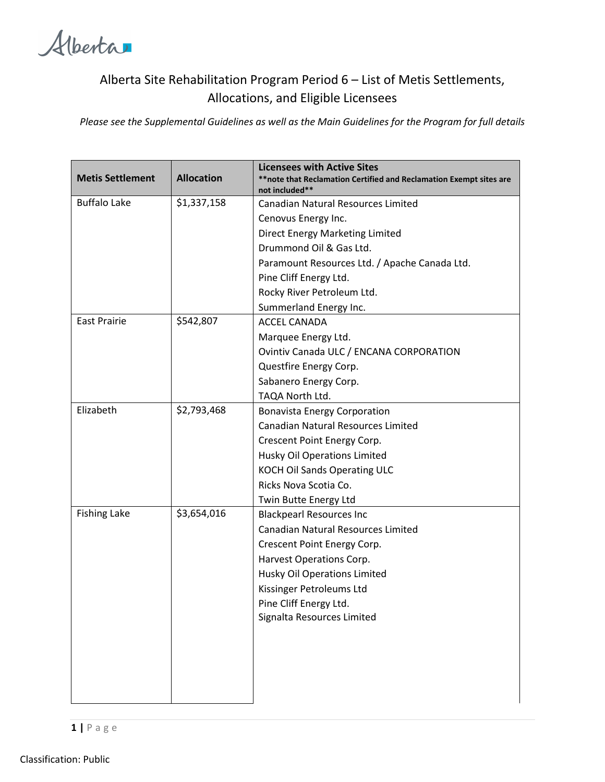Alberta

## Alberta Site Rehabilitation Program Period 6 – List of Metis Settlements, Allocations, and Eligible Licensees

*Please see the Supplemental Guidelines as well as the Main Guidelines for the Program for full details*

| <b>Metis Settlement</b> | <b>Allocation</b> | <b>Licensees with Active Sites</b><br>** note that Reclamation Certified and Reclamation Exempt sites are<br>not included** |
|-------------------------|-------------------|-----------------------------------------------------------------------------------------------------------------------------|
| <b>Buffalo Lake</b>     | \$1,337,158       | <b>Canadian Natural Resources Limited</b>                                                                                   |
|                         |                   | Cenovus Energy Inc.                                                                                                         |
|                         |                   | Direct Energy Marketing Limited                                                                                             |
|                         |                   | Drummond Oil & Gas Ltd.                                                                                                     |
|                         |                   | Paramount Resources Ltd. / Apache Canada Ltd.                                                                               |
|                         |                   | Pine Cliff Energy Ltd.                                                                                                      |
|                         |                   | Rocky River Petroleum Ltd.                                                                                                  |
|                         |                   | Summerland Energy Inc.                                                                                                      |
| <b>East Prairie</b>     | \$542,807         | <b>ACCEL CANADA</b>                                                                                                         |
|                         |                   | Marquee Energy Ltd.                                                                                                         |
|                         |                   | Ovintiv Canada ULC / ENCANA CORPORATION                                                                                     |
|                         |                   | Questfire Energy Corp.                                                                                                      |
|                         |                   | Sabanero Energy Corp.                                                                                                       |
|                         |                   | TAQA North Ltd.                                                                                                             |
| Elizabeth               | \$2,793,468       | <b>Bonavista Energy Corporation</b>                                                                                         |
|                         |                   | <b>Canadian Natural Resources Limited</b>                                                                                   |
|                         |                   | Crescent Point Energy Corp.                                                                                                 |
|                         |                   | Husky Oil Operations Limited                                                                                                |
|                         |                   | <b>KOCH Oil Sands Operating ULC</b>                                                                                         |
|                         |                   | Ricks Nova Scotia Co.                                                                                                       |
|                         |                   | Twin Butte Energy Ltd                                                                                                       |
| <b>Fishing Lake</b>     | \$3,654,016       | <b>Blackpearl Resources Inc</b>                                                                                             |
|                         |                   | <b>Canadian Natural Resources Limited</b>                                                                                   |
|                         |                   | Crescent Point Energy Corp.                                                                                                 |
|                         |                   | Harvest Operations Corp.                                                                                                    |
|                         |                   | Husky Oil Operations Limited                                                                                                |
|                         |                   | Kissinger Petroleums Ltd                                                                                                    |
|                         |                   | Pine Cliff Energy Ltd.                                                                                                      |
|                         |                   | Signalta Resources Limited                                                                                                  |
|                         |                   |                                                                                                                             |
|                         |                   |                                                                                                                             |
|                         |                   |                                                                                                                             |
|                         |                   |                                                                                                                             |
|                         |                   |                                                                                                                             |